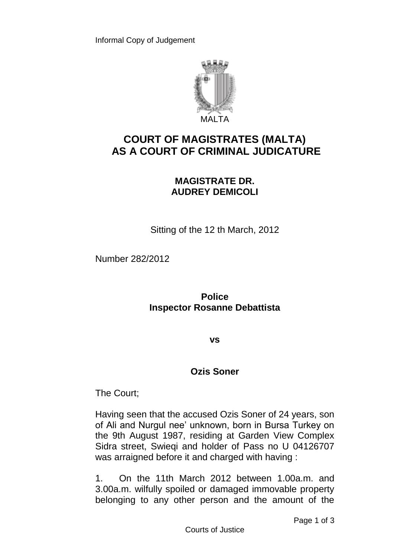

## **COURT OF MAGISTRATES (MALTA) AS A COURT OF CRIMINAL JUDICATURE**

## **MAGISTRATE DR. AUDREY DEMICOLI**

Sitting of the 12 th March, 2012

Number 282/2012

**Police Inspector Rosanne Debattista**

**vs**

## **Ozis Soner**

The Court;

Having seen that the accused Ozis Soner of 24 years, son of Ali and Nurgul nee' unknown, born in Bursa Turkey on the 9th August 1987, residing at Garden View Complex Sidra street, Swieqi and holder of Pass no U 04126707 was arraigned before it and charged with having :

1. On the 11th March 2012 between 1.00a.m. and 3.00a.m. wilfully spoiled or damaged immovable property belonging to any other person and the amount of the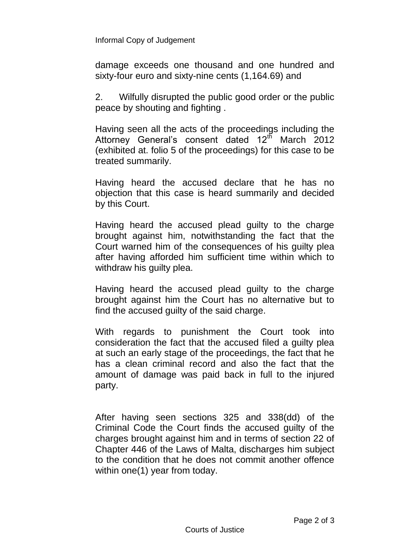Informal Copy of Judgement

damage exceeds one thousand and one hundred and sixty-four euro and sixty-nine cents (1,164.69) and

2. Wilfully disrupted the public good order or the public peace by shouting and fighting .

Having seen all the acts of the proceedings including the Attorney General's consent dated 12<sup>th</sup> March 2012 (exhibited at. folio 5 of the proceedings) for this case to be treated summarily.

Having heard the accused declare that he has no objection that this case is heard summarily and decided by this Court.

Having heard the accused plead guilty to the charge brought against him, notwithstanding the fact that the Court warned him of the consequences of his guilty plea after having afforded him sufficient time within which to withdraw his guilty plea.

Having heard the accused plead guilty to the charge brought against him the Court has no alternative but to find the accused guilty of the said charge.

With regards to punishment the Court took into consideration the fact that the accused filed a guilty plea at such an early stage of the proceedings, the fact that he has a clean criminal record and also the fact that the amount of damage was paid back in full to the injured party.

After having seen sections 325 and 338(dd) of the Criminal Code the Court finds the accused guilty of the charges brought against him and in terms of section 22 of Chapter 446 of the Laws of Malta, discharges him subject to the condition that he does not commit another offence within one(1) year from today.